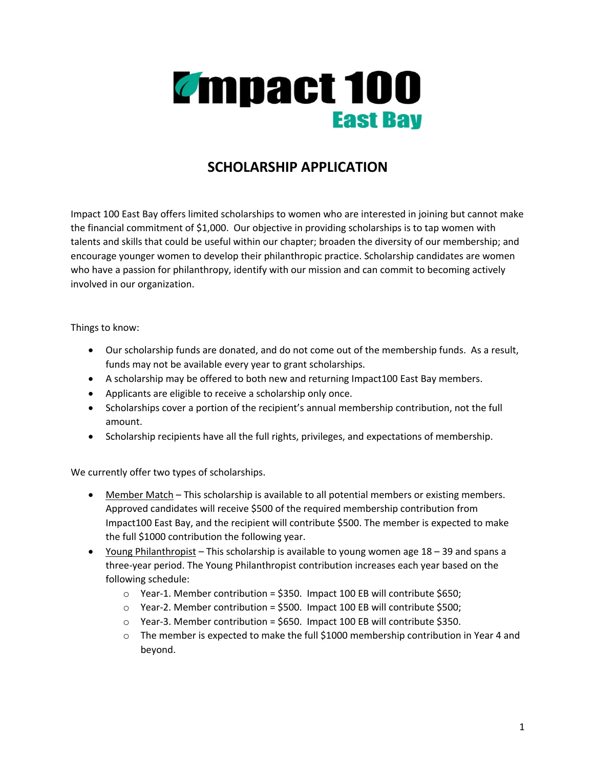

## **SCHOLARSHIP APPLICATION**

Impact 100 East Bay offers limited scholarships to women who are interested in joining but cannot make the financial commitment of \$1,000. Our objective in providing scholarships is to tap women with talents and skills that could be useful within our chapter; broaden the diversity of our membership; and encourage younger women to develop their philanthropic practice. Scholarship candidates are women who have a passion for philanthropy, identify with our mission and can commit to becoming actively involved in our organization.

Things to know:

- Our scholarship funds are donated, and do not come out of the membership funds. As a result, funds may not be available every year to grant scholarships.
- A scholarship may be offered to both new and returning Impact100 East Bay members.
- Applicants are eligible to receive a scholarship only once.
- Scholarships cover a portion of the recipient's annual membership contribution, not the full amount.
- Scholarship recipients have all the full rights, privileges, and expectations of membership.

We currently offer two types of scholarships.

- Member Match This scholarship is available to all potential members or existing members. Approved candidates will receive \$500 of the required membership contribution from Impact100 East Bay, and the recipient will contribute \$500. The member is expected to make the full \$1000 contribution the following year.
- Young Philanthropist This scholarship is available to young women age 18 39 and spans a three-year period. The Young Philanthropist contribution increases each year based on the following schedule:
	- $\circ$  Year-1. Member contribution = \$350. Impact 100 EB will contribute \$650;
	- o Year-2. Member contribution = \$500. Impact 100 EB will contribute \$500;
	- $\circ$  Year-3. Member contribution = \$650. Impact 100 EB will contribute \$350.
	- $\circ$  The member is expected to make the full \$1000 membership contribution in Year 4 and beyond.